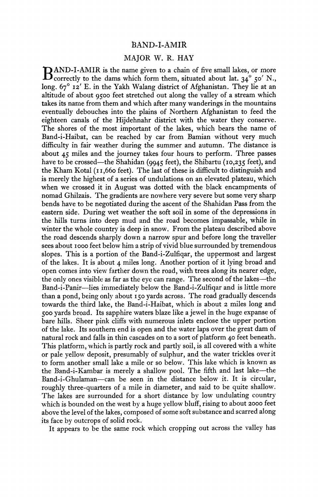## **3AND-I-AMIR**

## **MAJOR W. R. HAY**

**BAND-I-AMIR is the name given to a chain of five small lakes, or more correctly to the dams which form them, situated about lat. 34? 50' N., long. 67? I2' E. in the Yakh Walang district of Afghanistan. They lie at an altitude of about 9500 feet stretched out along the valley of a stream which takes its name from them and which after many wanderings in the mountains eventually debouches into the plains of Northern Afghanistan to feed the eighteen canals of the Hijdehnahr district with the water they conserve. The shores of the most important of the lakes, which bears the name of Band-i-Haibat, can be reached by car from Bamian without very much difficulty in fair weather during the summer and autumn. The distance is about 45 miles and the journey takes four hours to perform. Three passes have to be crossed-the Shahidan (9945 feet), the Shibartu (10,235 feet), and the Kham Kotal (i 1,66o feet). The last of these is difficult to distinguish and is merely the highest of a series of undulations on an elevated plateau, which when we crossed it in August was dotted with the black encampments of nomad Ghilzais. The gradients are nowhere very severe but some very sharp bends have to be negotiated during the ascent of the Shahidan Pass from the eastern side. During wet weather the soft soil in some of the depressions in the hills turns into deep mud and the road becomes impassable, while in winter the whole country is deep in snow. From the plateau described above the road descends sharply down a narrow spur and before long the traveller sees about I000 feet below him a strip of vivid blue surrounded by tremendous slopes. This is a portion of the Band-i-Zulfiqar, the uppermost and largest of the lakes. It is about 4 miles long. Another portion of it lying broad and open comes into view farther down the road, with trees along its nearer edge, the only ones visible as far as the eye can range. The second of the lakes-the Band-i-Panir-lies immediately below the Band-i-Zulfiqar and is little more than a pond, being only about 150 yards across. The road gradually descends towards the third lake, the Band-i-Haibat, which is about 2 miles long and 5oo yards broad. Its sapphire waters blaze like a jewel in the huge expanse of bare hills. Sheer pink cliffs with numerous inlets enclose the upper portion of the lake. Its southern end is open and the water laps over the great dam of natural rock and falls in thin cascades on to a sort of platform 40 feet beneath. This platform, which is partly rock and partly soil, is all covered with a white or pale yellow deposit, presumably of sulphur, and the water trickles over it to form another small lake a mile or so below. This lake which is known as the Band-i-Kambar is merely a shallow pool. The fifth and last lake-the Band-i-Ghulaman-can be seen in the distance below it. It is circular, roughly three-quarters of a mile in diameter, and said to be quite shallow. The lakes are surrounded for a short distance by low undulating country which is bounded on the west by a huge yellow bluff, rising to about 2000 feet above the level of the lakes, composed of some soft substance and scarred along its face by outcrops of solid rock.** 

**It appears to be the same rock which cropping out across the valley has**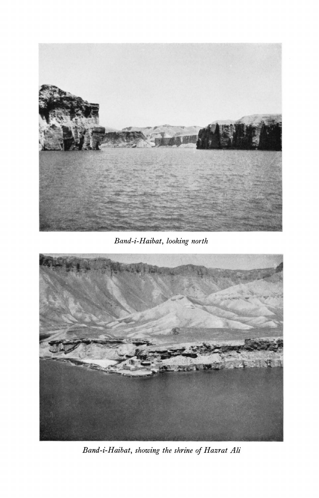

**Band-i-Haibat, looking north** 



**Band-i-Haibat, showing the shrine of Hazrat Ali**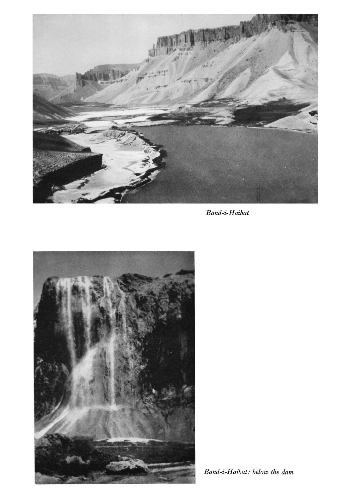

Band-i-Haibat

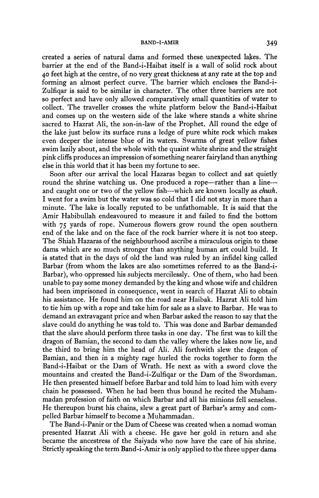## **BAND-I-AMIR**

**created a series of natural dams and formed these unexpected lakes. The barrier at the end of the Band-i-Haibat itself is a wall of solid rock about 40 feet high at the centre, of no very great thickness at any rate at the top and forming an almost perfect curve. The barrier which encloses the Band-i-Zulfiqar is said to be similar in character. The other three barriers are not so perfect and have only allowed comparatively small quantities of water to collect. The traveller crosses the white platform below the Band-i-Haibat and comes up on the western side of the lake where stands a white shrine sacred to Hazrat Ali, the son-in-law of the Prophet. All round the edge of the lake just below its surface runs a ledge of pure white rock which makes even deeper the intense blue of its waters. Swarms of great yellow fishes swim lazily about, and the whole with the quaint white shrine and the straight pink cliffs produces an impression of something nearer fairyland than anything else in this world that it has been my fortune to see.** 

**Soon after our arrival the local Hazaras began to collect and sat quietly**  round the shrine watching us. One produced a rope—rather than a line and caught one or two of the yellow fish—which are known locally as *chush*. **I went for a swim but the water was so cold that I did not stay in more than a minute. The lake is locally reputed to be unfathomable. It is said that the Amir Habibullah endeavoured to measure it and failed to find the bottom with 75 yards of rope. Numerous flowers grow round the open southern end of the lake and on the face of the rock barrier where it is not too steep. The Shiah Hazaras of the neighbourhood ascribe a miraculous origin to these dams which are so much stronger than anything human art could build. It is stated that in the days of old the land was ruled by an infidel king called Barbar (from whom the lakes are also sometimes referred to as the Band-i-Barbar), who oppressed his subjects mercilessly. One of them, who had been unable to pay some money demanded by the king and whose wife and children had been imprisoned in consequence, went in search of Hazrat Ali to obtain his assistance. He found him on the road near Haibak. Hazrat Ali told him to tie him up with a rope and take him for sale as a slave to Barbar. He was to demand an extravagant price and when Barbar asked the reason to say that the slave could do anything he was told to. This was done and Barbar demanded that the slave should perform three tasks in one day. The first was to kill the dragon of Bamian, the second to dam the valley where the lakes now lie, and the third to bring him the head of Ali. Ali forthwith slew the dragon of Bamian, and then in a mighty rage hurled the rocks together to form the Band-i-Haibat or the Dam of Wrath. He next as with a sword clove the mountains and created the Band-i-Zulfiqar or the Dam of the Swordsman. He then presented himself before Barbar and told him to load him with every chain he possessed. When he had been thus bound he recited the Muhammadan profession of faith on which Barbar and all his minions fell senseless. He thereupon burst his chains, slew a great part of Barbar's army and compelled Barbar himself to become a Muhammadan.** 

**The Band-i-Panir or the Dam of Cheese was created when a nomad woman presented Hazrat Ali with a cheese. He gave her gold in return and she became the ancestress of the Saiyads who now have the care of his shrine. Strictly speaking the term Band-i-Amir is only applied to the three upper dams**